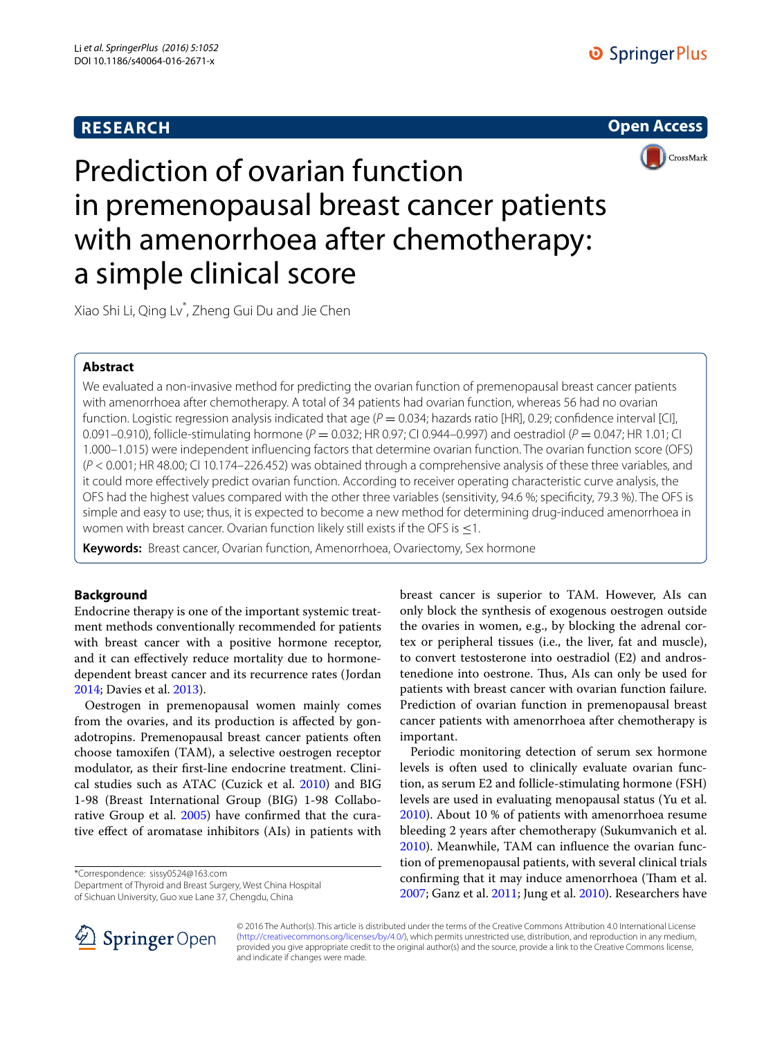# **RESEARCH**





Prediction of ovarian function in premenopausal breast cancer patients with amenorrhoea after chemotherapy: a simple clinical score

Xiao Shi Li, Qing Lv\* , Zheng Gui Du and Jie Chen

## **Abstract**

We evaluated a non-invasive method for predicting the ovarian function of premenopausal breast cancer patients with amenorrhoea after chemotherapy. A total of 34 patients had ovarian function, whereas 56 had no ovarian function. Logistic regression analysis indicated that age  $(P = 0.034$ ; hazards ratio [HR], 0.29; confidence interval [CI], 0.091–0.910), follicle-stimulating hormone (*P* = 0.032; HR 0.97; CI 0.944–0.997) and oestradiol (*P* = 0.047; HR 1.01; CI 1.000–1.015) were independent influencing factors that determine ovarian function. The ovarian function score (OFS) (*P* < 0.001; HR 48.00; CI 10.174–226.452) was obtained through a comprehensive analysis of these three variables, and it could more effectively predict ovarian function. According to receiver operating characteristic curve analysis, the OFS had the highest values compared with the other three variables (sensitivity, 94.6 %; specificity, 79.3 %). The OFS is simple and easy to use; thus, it is expected to become a new method for determining drug-induced amenorrhoea in women with breast cancer. Ovarian function likely still exists if the OFS is  $\leq$ 1.

**Keywords:** Breast cancer, Ovarian function, Amenorrhoea, Ovariectomy, Sex hormone

## **Background**

Endocrine therapy is one of the important systemic treatment methods conventionally recommended for patients with breast cancer with a positive hormone receptor, and it can effectively reduce mortality due to hormonedependent breast cancer and its recurrence rates (Jordan [2014](#page-6-0); Davies et al. [2013\)](#page-5-0).

Oestrogen in premenopausal women mainly comes from the ovaries, and its production is affected by gonadotropins. Premenopausal breast cancer patients often choose tamoxifen (TAM), a selective oestrogen receptor modulator, as their first-line endocrine treatment. Clinical studies such as ATAC (Cuzick et al. [2010](#page-5-1)) and BIG 1-98 (Breast International Group (BIG) 1-98 Collabo-rative Group et al. [2005](#page-5-2)) have confirmed that the curative effect of aromatase inhibitors (AIs) in patients with

\*Correspondence: sissy0524@163.com

Department of Thyroid and Breast Surgery, West China Hospital of Sichuan University, Guo xue Lane 37, Chengdu, China

breast cancer is superior to TAM. However, AIs can only block the synthesis of exogenous oestrogen outside the ovaries in women, e.g., by blocking the adrenal cortex or peripheral tissues (i.e., the liver, fat and muscle), to convert testosterone into oestradiol (E2) and androstenedione into oestrone. Thus, AIs can only be used for patients with breast cancer with ovarian function failure. Prediction of ovarian function in premenopausal breast cancer patients with amenorrhoea after chemotherapy is important.

Periodic monitoring detection of serum sex hormone levels is often used to clinically evaluate ovarian function, as serum E2 and follicle-stimulating hormone (FSH) levels are used in evaluating menopausal status (Yu et al. [2010](#page-6-1)). About 10 % of patients with amenorrhoea resume bleeding 2 years after chemotherapy (Sukumvanich et al. [2010](#page-6-2)). Meanwhile, TAM can influence the ovarian function of premenopausal patients, with several clinical trials confirming that it may induce amenorrhoea (Tham et al. [2007](#page-6-3); Ganz et al. [2011](#page-6-4); Jung et al. [2010\)](#page-6-5). Researchers have



© 2016 The Author(s). This article is distributed under the terms of the Creative Commons Attribution 4.0 International License [\(http://creativecommons.org/licenses/by/4.0/\)](http://creativecommons.org/licenses/by/4.0/), which permits unrestricted use, distribution, and reproduction in any medium, provided you give appropriate credit to the original author(s) and the source, provide a link to the Creative Commons license, and indicate if changes were made.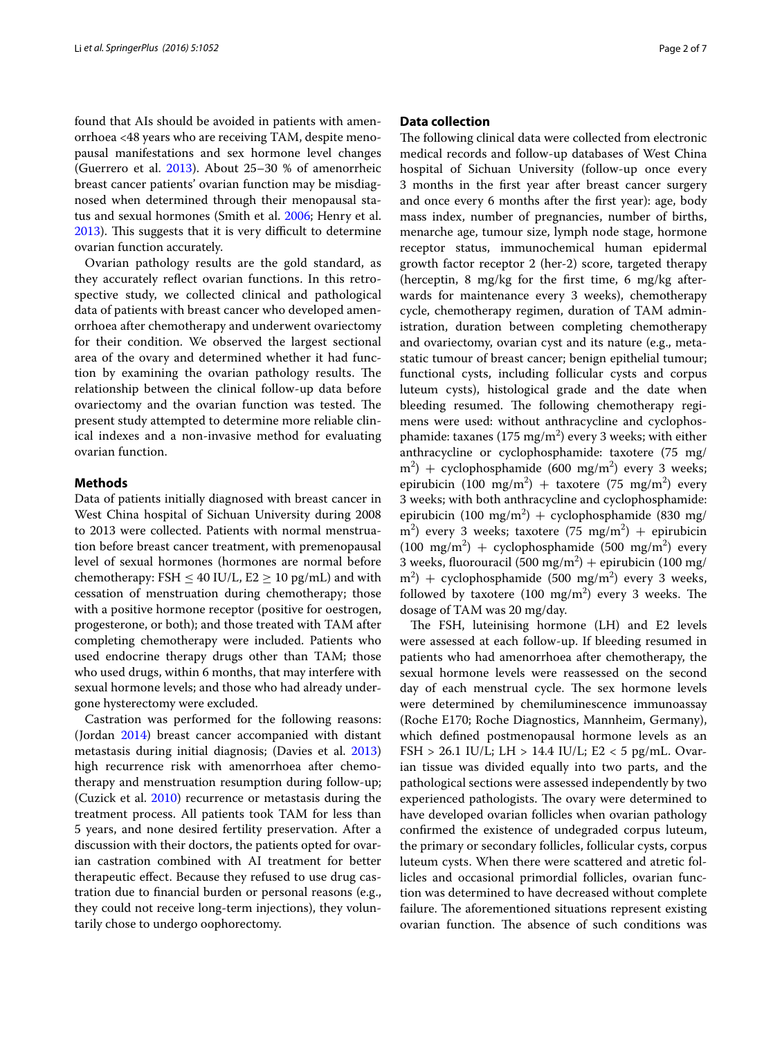found that AIs should be avoided in patients with amenorrhoea <48 years who are receiving TAM, despite menopausal manifestations and sex hormone level changes (Guerrero et al.  $2013$ ). About  $25-30$  % of amenorrheic breast cancer patients' ovarian function may be misdiagnosed when determined through their menopausal status and sexual hormones (Smith et al. [2006](#page-6-7); Henry et al. [2013](#page-6-8)). This suggests that it is very difficult to determine ovarian function accurately.

Ovarian pathology results are the gold standard, as they accurately reflect ovarian functions. In this retrospective study, we collected clinical and pathological data of patients with breast cancer who developed amenorrhoea after chemotherapy and underwent ovariectomy for their condition. We observed the largest sectional area of the ovary and determined whether it had function by examining the ovarian pathology results. The relationship between the clinical follow-up data before ovariectomy and the ovarian function was tested. The present study attempted to determine more reliable clinical indexes and a non-invasive method for evaluating ovarian function.

### **Methods**

Data of patients initially diagnosed with breast cancer in West China hospital of Sichuan University during 2008 to 2013 were collected. Patients with normal menstruation before breast cancer treatment, with premenopausal level of sexual hormones (hormones are normal before chemotherapy: FSH  $\leq$  40 IU/L, E2  $\geq$  10 pg/mL) and with cessation of menstruation during chemotherapy; those with a positive hormone receptor (positive for oestrogen, progesterone, or both); and those treated with TAM after completing chemotherapy were included. Patients who used endocrine therapy drugs other than TAM; those who used drugs, within 6 months, that may interfere with sexual hormone levels; and those who had already undergone hysterectomy were excluded.

Castration was performed for the following reasons: (Jordan [2014\)](#page-6-0) breast cancer accompanied with distant metastasis during initial diagnosis; (Davies et al. [2013](#page-5-0)) high recurrence risk with amenorrhoea after chemotherapy and menstruation resumption during follow-up; (Cuzick et al. [2010\)](#page-5-1) recurrence or metastasis during the treatment process. All patients took TAM for less than 5 years, and none desired fertility preservation. After a discussion with their doctors, the patients opted for ovarian castration combined with AI treatment for better therapeutic effect. Because they refused to use drug castration due to financial burden or personal reasons (e.g., they could not receive long-term injections), they voluntarily chose to undergo oophorectomy.

## **Data collection**

The following clinical data were collected from electronic medical records and follow-up databases of West China hospital of Sichuan University (follow-up once every 3 months in the first year after breast cancer surgery and once every 6 months after the first year): age, body mass index, number of pregnancies, number of births, menarche age, tumour size, lymph node stage, hormone receptor status, immunochemical human epidermal growth factor receptor 2 (her-2) score, targeted therapy (herceptin, 8 mg/kg for the first time, 6 mg/kg afterwards for maintenance every 3 weeks), chemotherapy cycle, chemotherapy regimen, duration of TAM administration, duration between completing chemotherapy and ovariectomy, ovarian cyst and its nature (e.g., metastatic tumour of breast cancer; benign epithelial tumour; functional cysts, including follicular cysts and corpus luteum cysts), histological grade and the date when bleeding resumed. The following chemotherapy regimens were used: without anthracycline and cyclophosphamide: taxanes  $(175 \text{ mg/m}^2)$  every 3 weeks; with either anthracycline or cyclophosphamide: taxotere (75 mg/  $(m^2)$  + cyclophosphamide (600 mg/m<sup>2</sup>) every 3 weeks; epirubicin (100 mg/m<sup>2</sup>) + taxotere (75 mg/m<sup>2</sup>) every 3 weeks; with both anthracycline and cyclophosphamide: epirubicin (100 mg/m<sup>2</sup>) + cyclophosphamide (830 mg/  $(m^2)$  every 3 weeks; taxotere (75 mg/m<sup>2</sup>) + epirubicin  $(100 \text{ mg/m}^2)$  + cyclophosphamide (500 mg/m<sup>2</sup>) every 3 weeks, fluorouracil (500 mg/m<sup>2</sup>) + epirubicin (100 mg/  $(m^2)$  + cyclophosphamide (500 mg/m<sup>2</sup>) every 3 weeks, followed by taxotere  $(100 \text{ mg/m}^2)$  every 3 weeks. The dosage of TAM was 20 mg/day.

The FSH, luteinising hormone (LH) and E2 levels were assessed at each follow-up. If bleeding resumed in patients who had amenorrhoea after chemotherapy, the sexual hormone levels were reassessed on the second day of each menstrual cycle. The sex hormone levels were determined by chemiluminescence immunoassay (Roche E170; Roche Diagnostics, Mannheim, Germany), which defined postmenopausal hormone levels as an FSH > 26.1 IU/L; LH > 14.4 IU/L; E2 < 5 pg/mL. Ovarian tissue was divided equally into two parts, and the pathological sections were assessed independently by two experienced pathologists. The ovary were determined to have developed ovarian follicles when ovarian pathology confirmed the existence of undegraded corpus luteum, the primary or secondary follicles, follicular cysts, corpus luteum cysts. When there were scattered and atretic follicles and occasional primordial follicles, ovarian function was determined to have decreased without complete failure. The aforementioned situations represent existing ovarian function. The absence of such conditions was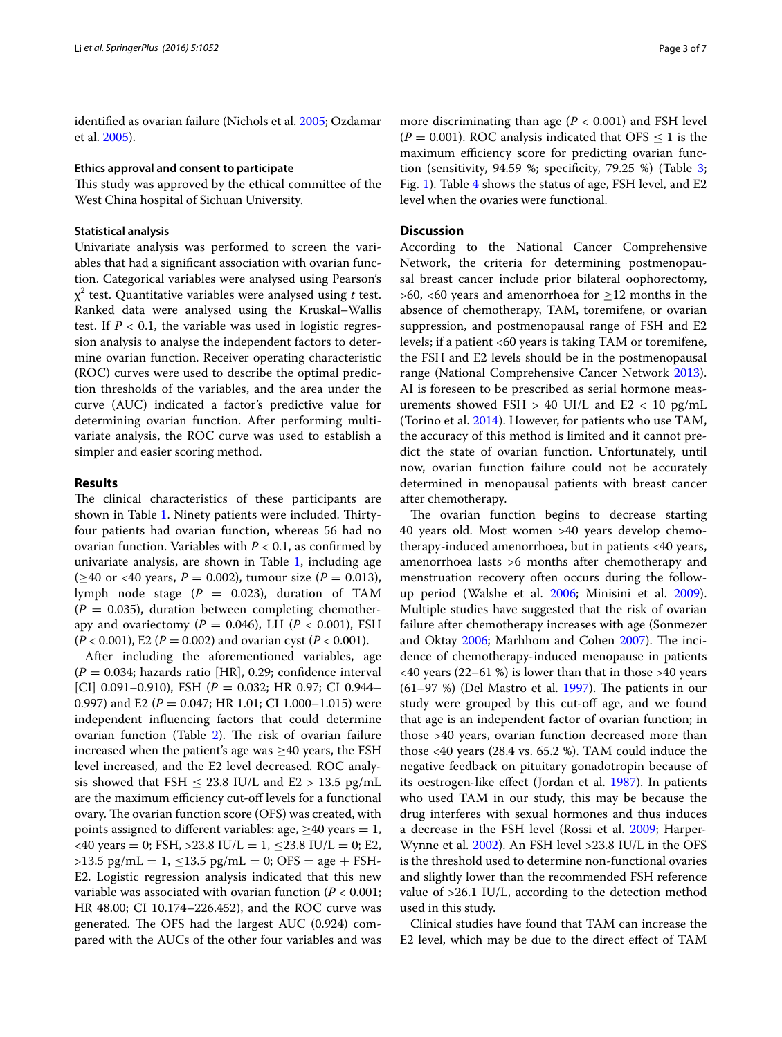identified as ovarian failure (Nichols et al. [2005;](#page-6-9) Ozdamar et al. [2005\)](#page-6-10).

### **Ethics approval and consent to participate**

This study was approved by the ethical committee of the West China hospital of Sichuan University.

### **Statistical analysis**

Univariate analysis was performed to screen the variables that had a significant association with ovarian function. Categorical variables were analysed using Pearson's χ2 test. Quantitative variables were analysed using *t* test. Ranked data were analysed using the Kruskal–Wallis test. If  $P < 0.1$ , the variable was used in logistic regression analysis to analyse the independent factors to determine ovarian function. Receiver operating characteristic (ROC) curves were used to describe the optimal prediction thresholds of the variables, and the area under the curve (AUC) indicated a factor's predictive value for determining ovarian function. After performing multivariate analysis, the ROC curve was used to establish a simpler and easier scoring method.

### **Results**

The clinical characteristics of these participants are shown in Table [1](#page-3-0). Ninety patients were included. Thirtyfour patients had ovarian function, whereas 56 had no ovarian function. Variables with  $P < 0.1$ , as confirmed by univariate analysis, are shown in Table [1,](#page-3-0) including age (≥40 or <40 years, *P* = 0.002), tumour size (*P* = 0.013), lymph node stage  $(P = 0.023)$ , duration of TAM  $(P = 0.035)$ , duration between completing chemotherapy and ovariectomy ( $P = 0.046$ ), LH ( $P < 0.001$ ), FSH  $(P < 0.001)$ , E2 ( $P = 0.002$ ) and ovarian cyst ( $P < 0.001$ ).

After including the aforementioned variables, age  $(P = 0.034$ ; hazards ratio [HR], 0.29; confidence interval [CI] 0.091–0.910), FSH ( $P = 0.032$ ; HR 0.97; CI 0.944– 0.997) and E2 ( $P = 0.047$ ; HR 1.01; CI 1.000–1.015) were independent influencing factors that could determine ovarian function (Table [2\)](#page-4-0). The risk of ovarian failure increased when the patient's age was  $\geq$ 40 years, the FSH level increased, and the E2 level decreased. ROC analysis showed that FSH  $\leq$  23.8 IU/L and E2 > 13.5 pg/mL are the maximum efficiency cut-off levels for a functional ovary. The ovarian function score (OFS) was created, with points assigned to different variables: age,  $\geq$ 40 years = 1,  $\langle 40 \text{ years} = 0$ ; FSH,  $> 23.8 \text{ IU/L} = 1$ ,  $\leq 23.8 \text{ IU/L} = 0$ ; E2,  $>13.5$  pg/mL = 1,  $\leq$ 13.5 pg/mL = 0; OFS = age + FSH-E2. Logistic regression analysis indicated that this new variable was associated with ovarian function (*P* < 0.001; HR 48.00; CI 10.174–226.452), and the ROC curve was generated. The OFS had the largest AUC (0.924) compared with the AUCs of the other four variables and was more discriminating than age (*P* < 0.001) and FSH level  $(P = 0.001)$ . ROC analysis indicated that OFS  $\leq 1$  is the maximum efficiency score for predicting ovarian func-tion (sensitivity, 94.59 %; specificity, 79.25 %) (Table [3](#page-4-1); Fig. [1](#page-4-2)). Table [4](#page-5-3) shows the status of age, FSH level, and E2 level when the ovaries were functional.

## **Discussion**

According to the National Cancer Comprehensive Network, the criteria for determining postmenopausal breast cancer include prior bilateral oophorectomy, >60, <60 years and amenorrhoea for  $\geq$ 12 months in the absence of chemotherapy, TAM, toremifene, or ovarian suppression, and postmenopausal range of FSH and E2 levels; if a patient <60 years is taking TAM or toremifene, the FSH and E2 levels should be in the postmenopausal range (National Comprehensive Cancer Network [2013](#page-6-11)). AI is foreseen to be prescribed as serial hormone measurements showed FSH  $> 40$  UI/L and E2  $< 10$  pg/mL (Torino et al. [2014\)](#page-6-12). However, for patients who use TAM, the accuracy of this method is limited and it cannot predict the state of ovarian function. Unfortunately, until now, ovarian function failure could not be accurately determined in menopausal patients with breast cancer after chemotherapy.

The ovarian function begins to decrease starting 40 years old. Most women >40 years develop chemotherapy-induced amenorrhoea, but in patients <40 years, amenorrhoea lasts >6 months after chemotherapy and menstruation recovery often occurs during the followup period (Walshe et al. [2006;](#page-6-13) Minisini et al. [2009](#page-6-14)). Multiple studies have suggested that the risk of ovarian failure after chemotherapy increases with age (Sonmezer and Oktay [2006;](#page-6-15) Marhhom and Cohen [2007\)](#page-6-16). The incidence of chemotherapy-induced menopause in patients <40 years (22–61 %) is lower than that in those >40 years  $(61–97%)$  (Del Mastro et al. [1997\)](#page-6-17). The patients in our study were grouped by this cut-off age, and we found that age is an independent factor of ovarian function; in those >40 years, ovarian function decreased more than those <40 years (28.4 vs. 65.2 %). TAM could induce the negative feedback on pituitary gonadotropin because of its oestrogen-like effect (Jordan et al. [1987\)](#page-6-18). In patients who used TAM in our study, this may be because the drug interferes with sexual hormones and thus induces a decrease in the FSH level (Rossi et al. [2009;](#page-6-19) Harper-Wynne et al. [2002\)](#page-6-20). An FSH level >23.8 IU/L in the OFS is the threshold used to determine non-functional ovaries and slightly lower than the recommended FSH reference value of >26.1 IU/L, according to the detection method used in this study.

Clinical studies have found that TAM can increase the E2 level, which may be due to the direct effect of TAM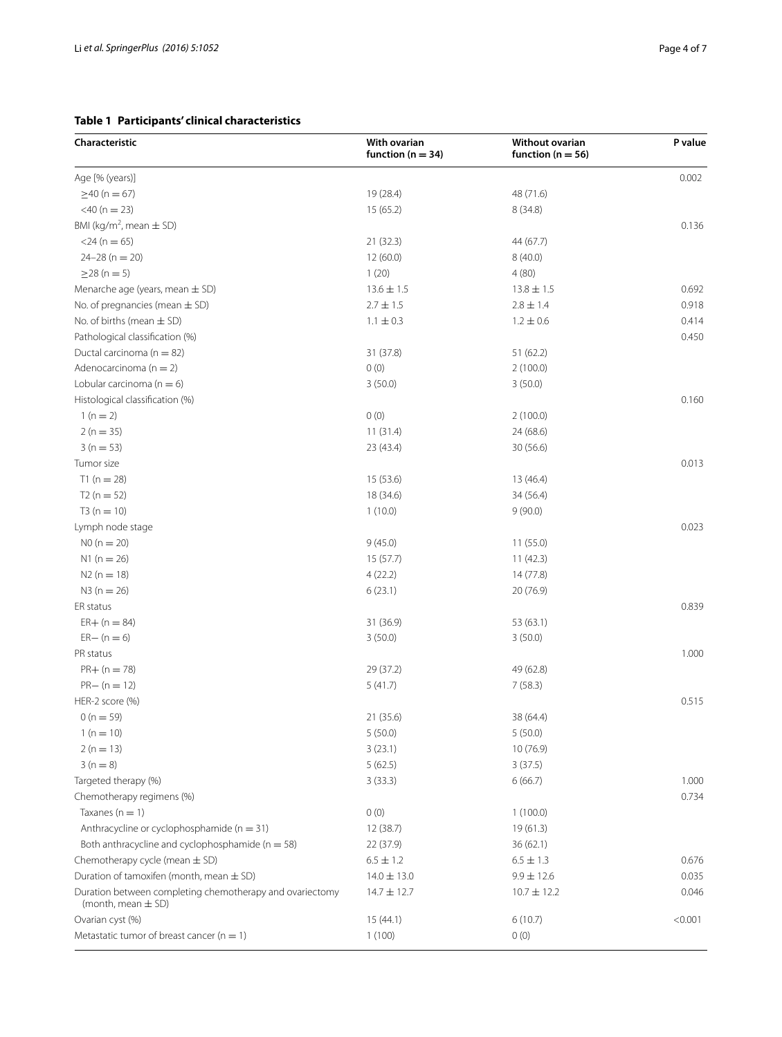## <span id="page-3-0"></span>**Table 1 Participants' clinical characteristics**

| Characteristic                                                                     | With ovarian<br>function ( $n = 34$ ) | Without ovarian<br>function ( $n = 56$ ) | P value |
|------------------------------------------------------------------------------------|---------------------------------------|------------------------------------------|---------|
| Age [% (years)]                                                                    |                                       |                                          | 0.002   |
| $\geq$ 40 (n = 67)                                                                 | 19 (28.4)                             | 48 (71.6)                                |         |
| $<$ 40 (n = 23)                                                                    | 15(65.2)                              | 8(34.8)                                  |         |
| BMI (kg/m <sup>2</sup> , mean $\pm$ SD)                                            |                                       |                                          | 0.136   |
| $<$ 24 (n = 65)                                                                    | 21(32.3)                              | 44 (67.7)                                |         |
| $24 - 28(n = 20)$                                                                  | 12(60.0)                              | 8(40.0)                                  |         |
| $\geq$ 28 (n = 5)                                                                  | 1(20)                                 | 4(80)                                    |         |
| Menarche age (years, mean $\pm$ SD)                                                | $13.6 \pm 1.5$                        | $13.8 \pm 1.5$                           | 0.692   |
| No. of pregnancies (mean $\pm$ SD)                                                 | $2.7 \pm 1.5$                         | $2.8 \pm 1.4$                            | 0.918   |
| No. of births (mean $\pm$ SD)                                                      | $1.1 \pm 0.3$                         | $1.2 \pm 0.6$                            | 0.414   |
| Pathological classification (%)                                                    |                                       |                                          | 0.450   |
| Ductal carcinoma ( $n = 82$ )                                                      | 31 (37.8)                             | 51(62.2)                                 |         |
| Adenocarcinoma ( $n = 2$ )                                                         | 0(0)                                  | 2(100.0)                                 |         |
| Lobular carcinoma ( $n = 6$ )                                                      | 3(50.0)                               | 3(50.0)                                  |         |
| Histological classification (%)                                                    |                                       |                                          | 0.160   |
| $1(n=2)$                                                                           | 0(0)                                  | 2(100.0)                                 |         |
| $2(n = 35)$                                                                        | 11(31.4)                              | 24 (68.6)                                |         |
| $3(n = 53)$                                                                        | 23 (43.4)                             | 30 (56.6)                                |         |
| Tumor size                                                                         |                                       |                                          | 0.013   |
| $T1(n = 28)$                                                                       | 15 (53.6)                             | 13 (46.4)                                |         |
| $T2(n = 52)$                                                                       | 18 (34.6)                             | 34 (56.4)                                |         |
| $T3(n = 10)$                                                                       | 1(10.0)                               | 9(90.0)                                  |         |
| Lymph node stage                                                                   |                                       |                                          | 0.023   |
| $NO (n = 20)$                                                                      | 9(45.0)                               | 11(55.0)                                 |         |
| $N1(n = 26)$                                                                       | 15(57.7)                              | 11(42.3)                                 |         |
| $N2(n = 18)$                                                                       | 4(22.2)                               | 14 (77.8)                                |         |
| $N3(n = 26)$                                                                       | 6(23.1)                               | 20 (76.9)                                |         |
| ER status                                                                          |                                       |                                          | 0.839   |
| $ER+ (n = 84)$                                                                     | 31 (36.9)                             | 53 (63.1)                                |         |
| $ER - (n = 6)$                                                                     | 3(50.0)                               | 3(50.0)                                  |         |
| PR status                                                                          |                                       |                                          | 1.000   |
| $PR+ (n = 78)$                                                                     | 29 (37.2)                             | 49 (62.8)                                |         |
| $PR - (n = 12)$                                                                    | 5(41.7)                               | 7(58.3)                                  |         |
| HER-2 score (%)                                                                    |                                       |                                          | 0.515   |
| $0(n = 59)$                                                                        | 21 (35.6)                             | 38 (64.4)                                |         |
| $1(n = 10)$                                                                        | 5(50.0)                               | 5(50.0)                                  |         |
| $2(n = 13)$                                                                        | 3(23.1)                               | 10 (76.9)                                |         |
| $3(n = 8)$                                                                         | 5(62.5)                               | 3(37.5)                                  |         |
| Targeted therapy (%)                                                               | 3(33.3)                               | 6(66.7)                                  | 1.000   |
| Chemotherapy regimens (%)                                                          |                                       |                                          | 0.734   |
| Taxanes ( $n = 1$ )                                                                | 0(0)                                  | 1(100.0)                                 |         |
| Anthracycline or cyclophosphamide ( $n = 31$ )                                     | 12(38.7)                              | 19 (61.3)                                |         |
| Both anthracycline and cyclophosphamide ( $n = 58$ )                               | 22 (37.9)                             | 36(62.1)                                 |         |
| Chemotherapy cycle (mean $\pm$ SD)                                                 | $6.5 \pm 1.2$                         | $6.5 \pm 1.3$                            | 0.676   |
| Duration of tamoxifen (month, mean $\pm$ SD)                                       | $14.0 \pm 13.0$                       | $9.9 \pm 12.6$                           | 0.035   |
| Duration between completing chemotherapy and ovariectomy<br>(month, mean $\pm$ SD) | $14.7 \pm 12.7$                       | $10.7 \pm 12.2$                          | 0.046   |
| Ovarian cyst (%)                                                                   | 15(44.1)                              | 6(10.7)                                  | < 0.001 |
| Metastatic tumor of breast cancer ( $n = 1$ )                                      | 1(100)                                | 0(0)                                     |         |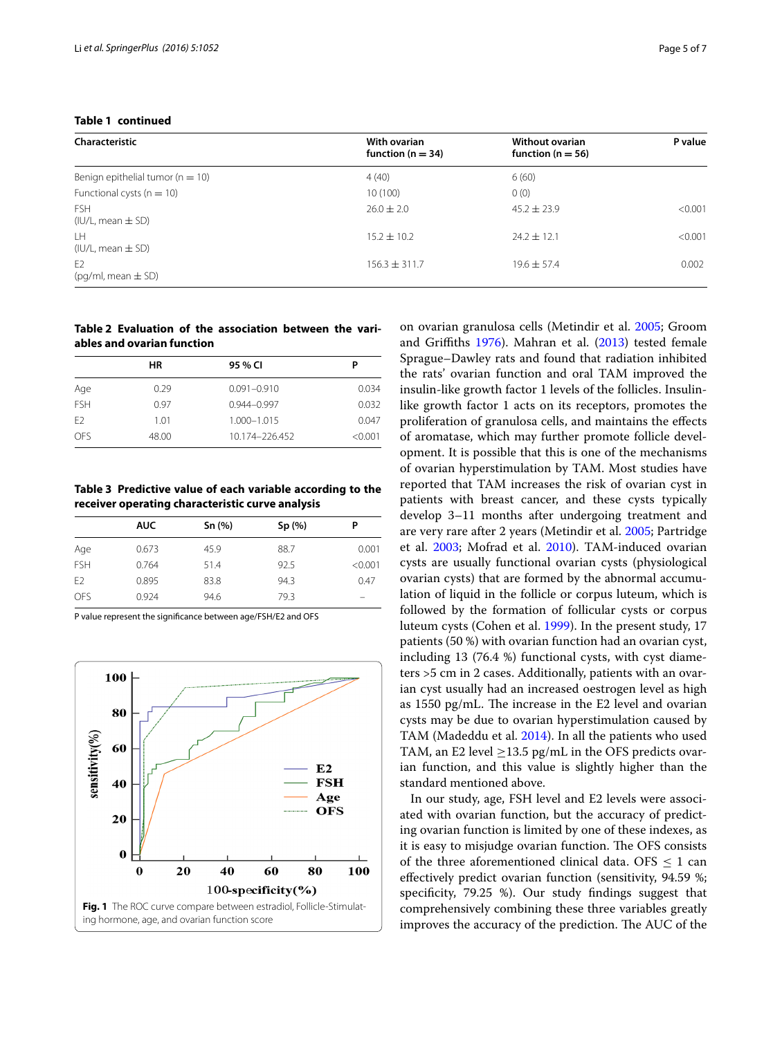|  | Table 1 continued |
|--|-------------------|
|--|-------------------|

| Characteristic                           | With ovarian<br>function ( $n = 34$ ) | Without ovarian<br>function ( $n = 56$ ) | P value |
|------------------------------------------|---------------------------------------|------------------------------------------|---------|
| Benign epithelial tumor ( $n = 10$ )     | 4(40)                                 | 6(60)                                    |         |
| Functional cysts ( $n = 10$ )            | 10(100)                               | 0(0)                                     |         |
| <b>FSH</b><br>$(IU/L, mean \pm SD)$      | $26.0 \pm 2.0$                        | $45.2 \pm 23.9$                          | < 0.001 |
| LH.<br>$(IU/L, mean \pm SD)$             | $15.2 \pm 10.2$                       | $74.7 + 12.1$                            | < 0.001 |
| E <sub>2</sub><br>$(pq/ml, mean \pm SD)$ | $156.3 \pm 311.7$                     | $19.6 + 57.4$                            | 0.002   |

## <span id="page-4-0"></span>**Table 2 Evaluation of the association between the variables and ovarian function**

|                | HR    | 95 % CI         | Р       |
|----------------|-------|-----------------|---------|
| Age            | 0.29  | $0.091 - 0.910$ | 0.034   |
| <b>FSH</b>     | 0.97  | $0.944 - 0.997$ | 0.032   |
| F <sub>2</sub> | 1.01  | $1.000 - 1.015$ | 0.047   |
| OES            | 48.00 | 10.174-226.452  | < 0.001 |

<span id="page-4-1"></span>**Table 3 Predictive value of each variable according to the receiver operating characteristic curve analysis**

|                | <b>AUC</b> | Sn(%) | Sp(%) | Ρ       |
|----------------|------------|-------|-------|---------|
| Age            | 0.673      | 45.9  | 88.7  | 0.001   |
| <b>FSH</b>     | 0.764      | 51.4  | 92.5  | < 0.001 |
| E <sub>2</sub> | 0.895      | 83.8  | 94.3  | 0.47    |
| OFS            | 0.924      | 94.6  | 79.3  | _       |

P value represent the significance between age/FSH/E2 and OFS

<span id="page-4-2"></span>

on ovarian granulosa cells (Metindir et al. [2005](#page-6-21); Groom and Griffiths [1976\)](#page-6-22). Mahran et al. [\(2013\)](#page-6-23) tested female Sprague–Dawley rats and found that radiation inhibited the rats' ovarian function and oral TAM improved the insulin-like growth factor 1 levels of the follicles. Insulinlike growth factor 1 acts on its receptors, promotes the proliferation of granulosa cells, and maintains the effects of aromatase, which may further promote follicle development. It is possible that this is one of the mechanisms of ovarian hyperstimulation by TAM. Most studies have reported that TAM increases the risk of ovarian cyst in patients with breast cancer, and these cysts typically develop 3–11 months after undergoing treatment and are very rare after 2 years (Metindir et al. [2005;](#page-6-24) Partridge et al. [2003;](#page-6-25) Mofrad et al. [2010\)](#page-6-26). TAM-induced ovarian cysts are usually functional ovarian cysts (physiological ovarian cysts) that are formed by the abnormal accumulation of liquid in the follicle or corpus luteum, which is followed by the formation of follicular cysts or corpus luteum cysts (Cohen et al. [1999](#page-5-4)). In the present study, 17 patients (50 %) with ovarian function had an ovarian cyst, including 13 (76.4 %) functional cysts, with cyst diameters >5 cm in 2 cases. Additionally, patients with an ovarian cyst usually had an increased oestrogen level as high as 1550 pg/mL. The increase in the E2 level and ovarian cysts may be due to ovarian hyperstimulation caused by TAM (Madeddu et al. [2014\)](#page-6-27). In all the patients who used TAM, an E2 level  $\geq$ 13.5 pg/mL in the OFS predicts ovarian function, and this value is slightly higher than the standard mentioned above.

In our study, age, FSH level and E2 levels were associated with ovarian function, but the accuracy of predicting ovarian function is limited by one of these indexes, as it is easy to misjudge ovarian function. The OFS consists of the three aforementioned clinical data. OFS  $\leq 1$  can effectively predict ovarian function (sensitivity, 94.59 %; specificity, 79.25 %). Our study findings suggest that comprehensively combining these three variables greatly improves the accuracy of the prediction. The AUC of the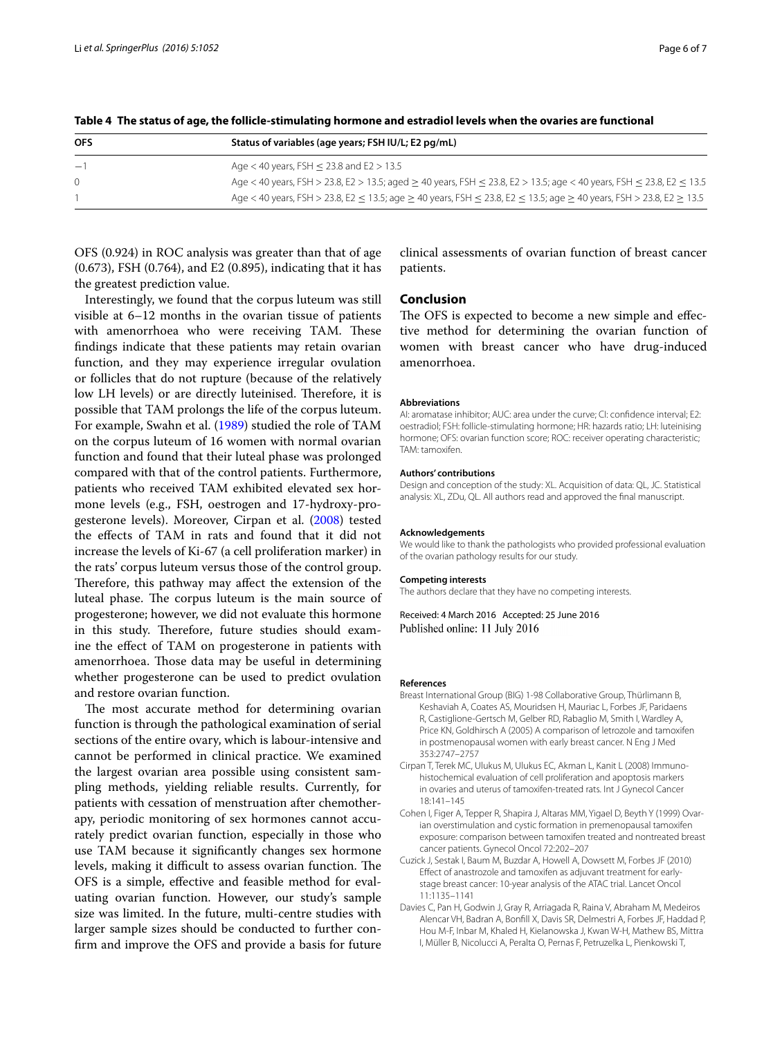| <b>OFS</b> | Status of variables (age years; FSH IU/L; E2 pg/mL)                                                                                          |  |
|------------|----------------------------------------------------------------------------------------------------------------------------------------------|--|
| $-1$       | Age $<$ 40 years, FSH $\leq$ 23.8 and E2 $>$ 13.5                                                                                            |  |
| $\Omega$   | Age < 40 years, FSH > 23.8, E2 > 13.5; aged > 40 years, FSH $\leq$ 23.8, E2 > 13.5; age < 40 years, FSH $\leq$ 23.8, E2 $\leq$ 13.5          |  |
|            | Age < 40 years, FSH > 23.8, E2 < 13.5; age $\geq$ 40 years, FSH $\leq$ 23.8, E2 $\leq$ 13.5; age $\geq$ 40 years, FSH > 23.8, E2 $\geq$ 13.5 |  |

<span id="page-5-3"></span>**Table 4 The status of age, the follicle-stimulating hormone and estradiol levels when the ovaries are functional**

OFS (0.924) in ROC analysis was greater than that of age (0.673), FSH (0.764), and E2 (0.895), indicating that it has the greatest prediction value.

Interestingly, we found that the corpus luteum was still visible at 6–12 months in the ovarian tissue of patients with amenorrhoea who were receiving TAM. These findings indicate that these patients may retain ovarian function, and they may experience irregular ovulation or follicles that do not rupture (because of the relatively low LH levels) or are directly luteinised. Therefore, it is possible that TAM prolongs the life of the corpus luteum. For example, Swahn et al. [\(1989\)](#page-6-28) studied the role of TAM on the corpus luteum of 16 women with normal ovarian function and found that their luteal phase was prolonged compared with that of the control patients. Furthermore, patients who received TAM exhibited elevated sex hormone levels (e.g., FSH, oestrogen and 17-hydroxy-progesterone levels). Moreover, Cirpan et al. [\(2008\)](#page-5-5) tested the effects of TAM in rats and found that it did not increase the levels of Ki-67 (a cell proliferation marker) in the rats' corpus luteum versus those of the control group. Therefore, this pathway may affect the extension of the luteal phase. The corpus luteum is the main source of progesterone; however, we did not evaluate this hormone in this study. Therefore, future studies should examine the effect of TAM on progesterone in patients with amenorrhoea. Those data may be useful in determining whether progesterone can be used to predict ovulation and restore ovarian function.

The most accurate method for determining ovarian function is through the pathological examination of serial sections of the entire ovary, which is labour-intensive and cannot be performed in clinical practice. We examined the largest ovarian area possible using consistent sampling methods, yielding reliable results. Currently, for patients with cessation of menstruation after chemotherapy, periodic monitoring of sex hormones cannot accurately predict ovarian function, especially in those who use TAM because it significantly changes sex hormone levels, making it difficult to assess ovarian function. The OFS is a simple, effective and feasible method for evaluating ovarian function. However, our study's sample size was limited. In the future, multi-centre studies with larger sample sizes should be conducted to further confirm and improve the OFS and provide a basis for future

clinical assessments of ovarian function of breast cancer patients.

## **Conclusion**

The OFS is expected to become a new simple and effective method for determining the ovarian function of women with breast cancer who have drug-induced amenorrhoea.

#### **Abbreviations**

AI: aromatase inhibitor; AUC: area under the curve; CI: confidence interval; E2: oestradiol; FSH: follicle-stimulating hormone; HR: hazards ratio; LH: luteinising hormone; OFS: ovarian function score; ROC: receiver operating characteristic; TAM: tamoxifen.

#### **Authors' contributions**

Design and conception of the study: XL. Acquisition of data: QL, JC. Statistical analysis: XL, ZDu, QL. All authors read and approved the final manuscript.

### **Acknowledgements**

We would like to thank the pathologists who provided professional evaluation of the ovarian pathology results for our study.

### **Competing interests**

The authors declare that they have no competing interests.

Received: 4 March 2016 Accepted: 25 June 2016 Published online: 11 July 2016

#### **References**

- <span id="page-5-2"></span>Breast International Group (BIG) 1-98 Collaborative Group, Thürlimann B, Keshaviah A, Coates AS, Mouridsen H, Mauriac L, Forbes JF, Paridaens R, Castiglione-Gertsch M, Gelber RD, Rabaglio M, Smith I, Wardley A, Price KN, Goldhirsch A (2005) A comparison of letrozole and tamoxifen in postmenopausal women with early breast cancer. N Eng J Med 353:2747–2757
- <span id="page-5-5"></span>Cirpan T, Terek MC, Ulukus M, Ulukus EC, Akman L, Kanit L (2008) Immunohistochemical evaluation of cell proliferation and apoptosis markers in ovaries and uterus of tamoxifen-treated rats. Int J Gynecol Cancer 18:141–145
- <span id="page-5-4"></span>Cohen I, Figer A, Tepper R, Shapira J, Altaras MM, Yigael D, Beyth Y (1999) Ovarian overstimulation and cystic formation in premenopausal tamoxifen exposure: comparison between tamoxifen treated and nontreated breast cancer patients. Gynecol Oncol 72:202–207
- <span id="page-5-1"></span>Cuzick J, Sestak I, Baum M, Buzdar A, Howell A, Dowsett M, Forbes JF (2010) Effect of anastrozole and tamoxifen as adjuvant treatment for earlystage breast cancer: 10-year analysis of the ATAC trial. Lancet Oncol 11:1135–1141
- <span id="page-5-0"></span>Davies C, Pan H, Godwin J, Gray R, Arriagada R, Raina V, Abraham M, Medeiros Alencar VH, Badran A, Bonfill X, Davis SR, Delmestri A, Forbes JF, Haddad P, Hou M-F, Inbar M, Khaled H, Kielanowska J, Kwan W-H, Mathew BS, Mittra I, Müller B, Nicolucci A, Peralta O, Pernas F, Petruzelka L, Pienkowski T,